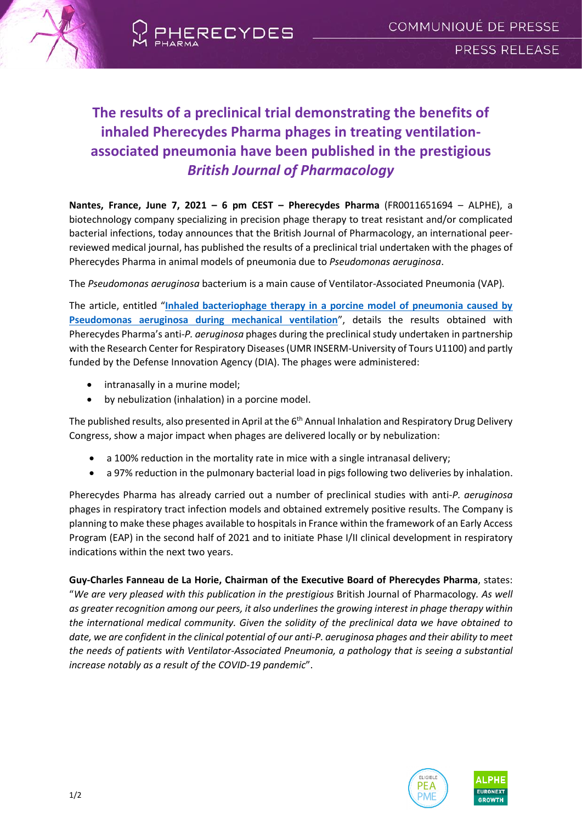



# **The results of a preclinical trial demonstrating the benefits of inhaled Pherecydes Pharma phages in treating ventilationassociated pneumonia have been published in the prestigious** *British Journal of Pharmacology*

**Nantes, France, June 7, 2021 – 6 pm CEST – Pherecydes Pharma** (FR0011651694 – ALPHE), a biotechnology company specializing in precision phage therapy to treat resistant and/or complicated bacterial infections, today announces that the British Journal of Pharmacology, an international peerreviewed medical journal, has published the results of a preclinical trial undertaken with the phages of Pherecydes Pharma in animal models of pneumonia due to *Pseudomonas aeruginosa*.

The *Pseudomonas aeruginosa* bacterium is a main cause of Ventilator-Associated Pneumonia (VAP)*.*

The article, entitled "**[Inhaled bacteriophage therapy in a porcine model of pneumonia caused by](https://bpspubs.onlinelibrary.wiley.com/doi/10.1111/bph.15526)  [Pseudomonas aeruginosa during mechanical ventilation](https://bpspubs.onlinelibrary.wiley.com/doi/10.1111/bph.15526)**", details the results obtained with Pherecydes Pharma's anti-*P. aeruginosa* phages during the preclinical study undertaken in partnership with the Research Center for Respiratory Diseases (UMR INSERM-University of Tours U1100) and partly funded by the Defense Innovation Agency (DIA). The phages were administered:

- intranasally in a murine model;
- by nebulization (inhalation) in a porcine model.

The published results, also presented in April at the 6<sup>th</sup> Annual Inhalation and Respiratory Drug Delivery Congress, show a major impact when phages are delivered locally or by nebulization:

- a 100% reduction in the mortality rate in mice with a single intranasal delivery;
- a 97% reduction in the pulmonary bacterial load in pigs following two deliveries by inhalation.

Pherecydes Pharma has already carried out a number of preclinical studies with anti-*P. aeruginosa* phages in respiratory tract infection models and obtained extremely positive results. The Company is planning to make these phages available to hospitals in France within the framework of an Early Access Program (EAP) in the second half of 2021 and to initiate Phase I/II clinical development in respiratory indications within the next two years.

**Guy-Charles Fanneau de La Horie, Chairman of the Executive Board of Pherecydes Pharma**, states: "*We are very pleased with this publication in the prestigious* British Journal of Pharmacology*. As well as greater recognition among our peers, it also underlines the growing interest in phage therapy within the international medical community. Given the solidity of the preclinical data we have obtained to date, we are confident in the clinical potential of our anti-P. aeruginosa phages and their ability to meet the needs of patients with Ventilator-Associated Pneumonia, a pathology that is seeing a substantial increase notably as a result of the COVID-19 pandemic*".



**FURONEXT** 

1/2